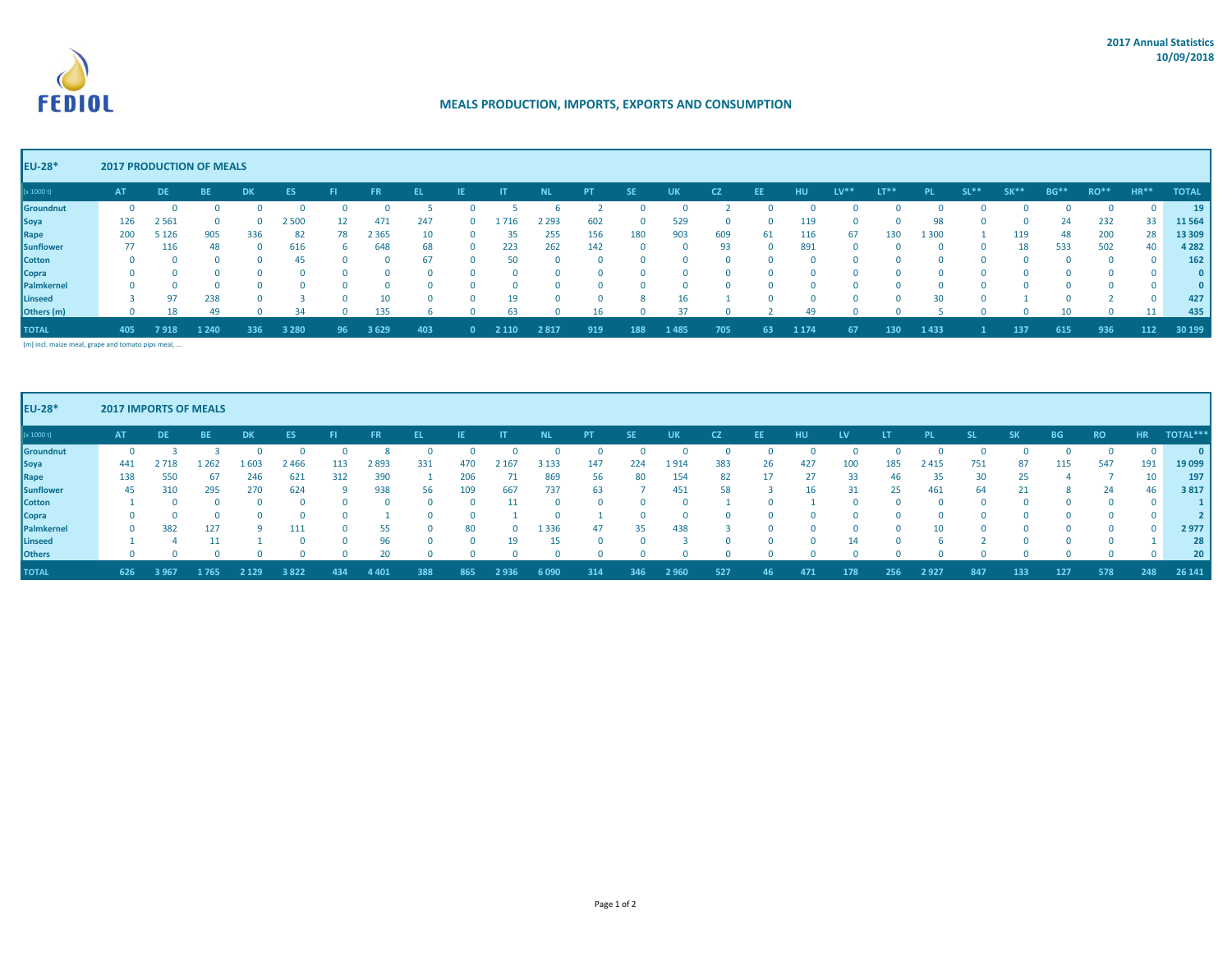

## **MEALS PRODUCTION, IMPORTS, EXPORTS AND CONSUMPTION**

## **EU-28\* 2017 PRODUCTION OF MEALS**

| (x 1000 t)       | <b>AT</b>    | DE.     | <b>BE</b> | <b>DK</b>    | ES      | FL.        | FR.     |     | IE           |         | <b>NL</b> | PT.      | <b>SE</b> | <b>UK</b> | <b>CZ</b>    | <b>EE</b>  | <b>HU</b> | $LV**$ | $LT**$ |         | $SL**$ | SK** | BG*'       | RO** | $HR**$ | <b>TOTAL</b>    |
|------------------|--------------|---------|-----------|--------------|---------|------------|---------|-----|--------------|---------|-----------|----------|-----------|-----------|--------------|------------|-----------|--------|--------|---------|--------|------|------------|------|--------|-----------------|
| Groundnut        | 0            |         |           |              |         |            |         |     |              |         |           |          |           |           |              |            |           |        |        |         | n      |      |            |      |        | 19 <sup>°</sup> |
| <b>Soya</b>      | 126          | 2 5 6 1 |           | <sup>n</sup> | ! 500   |            | 471     | 247 | $\mathbf{0}$ | 1716    | 2 2 9 3   | 602      |           | 529       |              |            | 119       |        |        | 98      | 0      |      | 24         | 232  | 33     | 11 5 64         |
| Rape             | 200          | 5 1 2 6 | 905       | 336          | 82      | 78         | 2 3 6 5 | 10  | $\Omega$     | 35      | 255       | 156      | 180       | 903       | 609          | 61         | 116       | 67     | 130    | 1 3 0 0 |        | 119  | 48         | 200  | 28     | 13 309          |
| <b>Sunflower</b> | 77           | 116     | 48        | $\Omega$     | 616     | 6.         | 648     | 68  | $\Omega$     | 223     | 262       | 142      |           |           | 93           | $\Omega$   | 891       |        |        |         | 0      | 18   | 533        | 502  | 40     | 4 2 8 2         |
| <b>Cotton</b>    | $\mathbf{0}$ |         | $\Omega$  | 0            | 45      | $\Omega$   |         | 67  | $\Omega$     | 50      | $\Omega$  |          |           |           |              |            |           |        |        |         | O.     |      |            |      |        | 162             |
| <b>Copra</b>     | $\mathbf{0}$ |         |           | <sup>n</sup> |         | $^{\circ}$ |         |     | $\Omega$     |         | $\Omega$  |          |           |           | <sup>n</sup> |            |           |        |        |         | 0      |      | $^{\circ}$ |      |        | 01              |
| Palmkernel       | $\mathbf{0}$ |         | $\Omega$  | 0            |         | $^{\circ}$ |         |     | $\Omega$     |         | $\Omega$  | $\Omega$ |           |           | <sup>n</sup> | $^{\circ}$ |           |        |        |         | 0      |      | $\Omega$   |      |        | 01              |
| Linseed          | 3.           | 97      | 238       | $\Omega$     |         | $\Omega$   |         |     | $\Omega$     | 19      | $\Omega$  |          |           |           |              |            |           |        |        | 30      | 0      |      | $\Omega$   |      |        | 427             |
| Others (m)       | $\Omega$     |         |           |              |         |            | 135     |     |              | 63      |           |          |           |           |              |            |           |        |        |         |        |      |            |      | 11     | 435             |
| <b>TOTAL</b>     | 405          | 7918    | 1 2 4 0   | 336          | 3 2 8 0 | 96         | 3629    | 403 |              | 2 1 1 0 | 2817      | 919      | 188       | l 485     | 705          |            | 1 1 7 4   | 67     | 130    | 1433    |        | 137  | 615        | 936  | 112    | 30 199          |

(m) incl. maize meal, grape and tomato pips meal, ...

| <b>EU-28*</b>    | <b>2017 IMPORTS OF MEALS</b> |           |           |           |           |     |           |     |     |         |         |           |              |           |               |    |              |           |     |           |     |           |           |           |           |                |
|------------------|------------------------------|-----------|-----------|-----------|-----------|-----|-----------|-----|-----|---------|---------|-----------|--------------|-----------|---------------|----|--------------|-----------|-----|-----------|-----|-----------|-----------|-----------|-----------|----------------|
| (x 1000 t)       | <b>AT</b>                    | <b>DE</b> | <b>BE</b> | <b>DK</b> | <b>ES</b> |     | <b>FR</b> |     |     |         | NL      | <b>PT</b> | <b>SE</b>    | <b>UK</b> | <sub>CZ</sub> | EE | нu           | <b>LV</b> | LT  | <b>PL</b> |     | <b>SK</b> | <b>BG</b> | <b>RO</b> | <b>HR</b> | <b>TOTAL**</b> |
| Groundnut        |                              |           |           |           |           |     |           |     |     |         |         |           |              |           |               |    |              |           |     |           |     |           |           |           |           |                |
| Soya             | 441                          | 2718      | . 262     | 1603      | 2466      | 113 | 2893      | 331 | 470 | 2 1 6 7 | 3 1 3 3 | 147       | 224          | 1914      | 383           | 26 | 427          | 100       | 185 | 2415      | 751 | 87        | 115       | 547       | 191       | 19 099         |
| Rape             | 138                          | 550       | 67        | 246       | 621       | 312 | 390       |     | 206 |         | 869     | 56        | 80           | 154       | 82            | 17 | 27           | 33        | 46  | 35        | 30  | 25        |           |           | 10        | 197            |
| <b>Sunflower</b> | 45                           | 310       | 295       | 270       | 624       | a   | 938       | 56  | 109 | 667     | 737     | 63        |              | 451       | 58            |    | 16           | 31        | 25  | 461       | 64  | 21        | 8         | 24        | 46        | 3817           |
| <b>Cotton</b>    |                              | $\Omega$  |           |           |           |     |           |     |     |         |         |           |              |           |               |    |              |           |     |           |     |           |           | $\Omega$  |           |                |
| <b>Copra</b>     |                              | $\Omega$  |           |           |           | n.  |           |     |     |         |         |           | <sup>0</sup> |           | $\Omega$      |    | O.           |           |     |           |     | $\Omega$  |           | $\Omega$  | $\Omega$  |                |
| Palmkernel       |                              | 382       | 127       |           | 111       | n   | 55        |     | 80  |         | 1336    | 47        | 35           | 438       |               |    | n.           |           |     |           |     |           |           | $\Omega$  | $\Omega$  | 2977           |
| Linseed          |                              |           |           |           |           | n   | 96        |     |     | 19      | 15      |           | n            |           | $\Omega$      |    | <sup>n</sup> | 14        |     |           |     |           |           | $\cap$    |           | 28             |
| <b>Others</b>    |                              |           |           |           |           |     |           |     |     |         |         |           |              |           |               |    |              |           |     |           |     |           |           |           |           | 20             |
| <b>TOTAL</b>     | 626                          | 3 9 6 7   | 1765      | 2 1 2 9   | 3822      | 434 | 4 4 0 1   | 388 | 865 | 2936    | 6090    | 314       | 346          | 2 9 6 0   | 527           | 46 | 471          | 178       | 256 | 2927      | 847 | 133       | 127       | 578       | 248       | 26 141         |